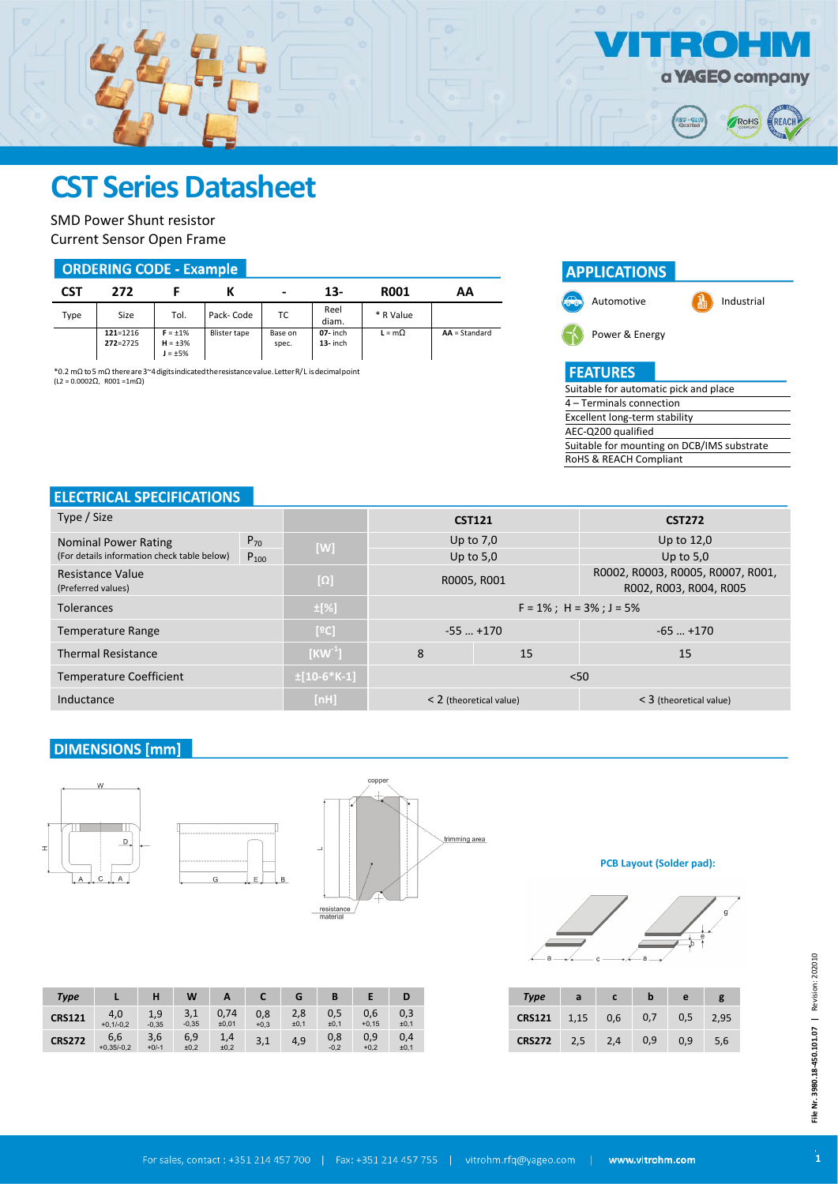

SMD Power Shunt resistor Current Sensor Open Frame

#### **ORDERING CODE - Example**

| CST  | 272                          |                                                |              | $\,$             | 13-                       | <b>R001</b>   | АΑ              |
|------|------------------------------|------------------------------------------------|--------------|------------------|---------------------------|---------------|-----------------|
| Type | Size                         | Tol.                                           | Pack-Code    | ТC               | Reel<br>diam.             | * R Value     |                 |
|      | $121 = 1216$<br>$272 = 2725$ | $F = \pm 1\%$<br>$H = \pm 3\%$<br>$J = \pm 5%$ | Blister tape | Base on<br>spec. | $07 -$ inch<br>$13-$ inch | $L = m\Omega$ | $AA = Standard$ |

\*0.2 mΩ to5 mΩ thereare3~4digitsindicatedtheresistancevalue.LetterR/L isdecimalpoint  $(12 = 0.0002Q, R001 = 1mQ)$ 



 $\blacksquare$ 

60.Q

a **YAGEO** company

RoHS

REACH

## **ELECTRICAL SPECIFICATIONS**

| Type / Size                                 |           | <b>CST121</b>    |                            | <b>CST272</b> |                                                             |  |
|---------------------------------------------|-----------|------------------|----------------------------|---------------|-------------------------------------------------------------|--|
| $P_{70}$<br><b>Nominal Power Rating</b>     |           |                  |                            | Up to $7.0$   | Up to 12,0                                                  |  |
| (For details information check table below) | $P_{100}$ | [W]              | Up to $5,0$                |               | Up to $5.0$                                                 |  |
| Resistance Value<br>(Preferred values)      |           | $[\Omega]$       | R0005, R001                |               | R0002, R0003, R0005, R0007, R001,<br>R002, R003, R004, R005 |  |
| <b>Tolerances</b>                           |           | $\pm$ [%]        | $F = 1\%$ ; H = 3%; J = 5% |               |                                                             |  |
| <b>Temperature Range</b>                    |           | [°C]             | $-55$ $+170$               |               | $-65+170$                                                   |  |
| <b>Thermal Resistance</b>                   |           | $[KW^1]$         | 8<br>15                    |               | 15                                                          |  |
| <b>Temperature Coefficient</b>              |           | $\pm$ [10-6*K-1] | < 50                       |               |                                                             |  |
| Inductance                                  |           | [nh]             | $<$ 2 (theoretical value)  |               | $<$ 3 (theoretical value)                                   |  |

#### **DIMENSIONS [mm]**

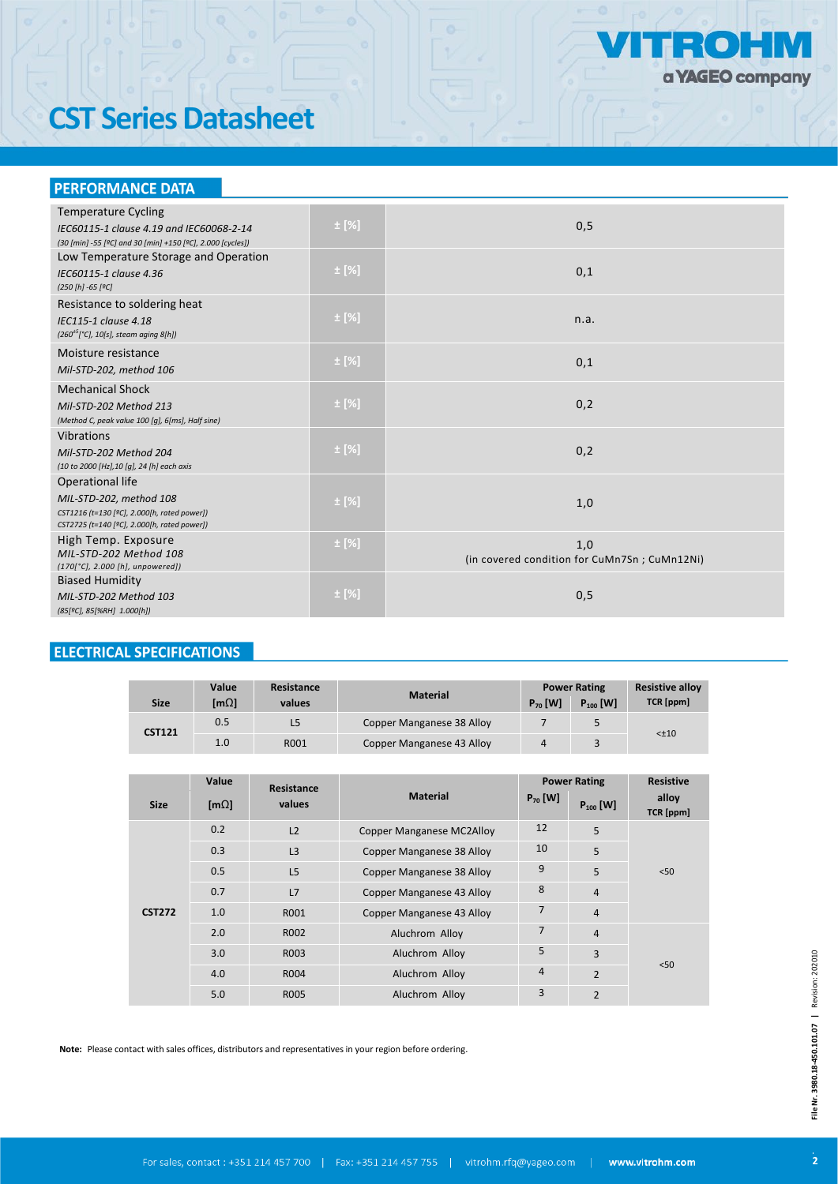

# **CST Series Datasheet**

#### **PERFORMANCE DATA**

| <b>Temperature Cycling</b>                                                                             | $\pm$ [%] |                                              |
|--------------------------------------------------------------------------------------------------------|-----------|----------------------------------------------|
| IEC60115-1 clause 4.19 and IEC60068-2-14<br>(30 [min] -55 [°C] and 30 [min] +150 [°C], 2.000 [cycles]) |           | 0,5                                          |
| Low Temperature Storage and Operation                                                                  |           |                                              |
| IEC60115-1 clause 4.36                                                                                 | $\pm$ [%] | 0,1                                          |
| (250 [h] -65 [ºC]                                                                                      |           |                                              |
| Resistance to soldering heat                                                                           |           |                                              |
| IEC115-1 clause 4.18<br>$(260^{+5})^{\circ}$ C], 10[s], steam aging 8[h])                              | $\pm$ [%] | n.a.                                         |
|                                                                                                        |           |                                              |
| Moisture resistance                                                                                    | $\pm$ [%] | 0,1                                          |
| Mil-STD-202, method 106                                                                                |           |                                              |
| <b>Mechanical Shock</b>                                                                                |           |                                              |
| Mil-STD-202 Method 213                                                                                 | $\pm$ [%] | 0,2                                          |
| (Method C, peak value 100 [g], 6[ms], Half sine)                                                       |           |                                              |
| Vibrations                                                                                             |           |                                              |
| Mil-STD-202 Method 204                                                                                 | $\pm$ [%] | 0,2                                          |
| (10 to 2000 [Hz], 10 [g], 24 [h] each axis                                                             |           |                                              |
| Operational life                                                                                       |           |                                              |
| MIL-STD-202, method 108                                                                                | $\pm$ [%] | 1,0                                          |
| CST1216 (t=130 [ºC], 2.000[h, rated power])                                                            |           |                                              |
| CST2725 (t=140 [ºC], 2.000[h, rated power])                                                            |           |                                              |
| High Temp. Exposure                                                                                    | $\pm$ [%] | 1,0                                          |
| MIL-STD-202 Method 108<br>$(170[^{\circ}C], 2.000 [h],$ unpowered])                                    |           | (in covered condition for CuMn7Sn; CuMn12Ni) |
| <b>Biased Humidity</b>                                                                                 |           |                                              |
| MIL-STD-202 Method 103                                                                                 | $\pm$ [%] | 0,5                                          |
| (85[ºC], 85[%RH] 1.000[h])                                                                             |           |                                              |
|                                                                                                        |           |                                              |

# **ELECTRICAL SPECIFICATIONS**

| <b>Size</b>   | Value<br>ImΩl | Resistance<br>values | <b>Material</b>           | $P_{70}$ [W] | <b>Power Rating</b><br>$P_{100}$ [W] | <b>Resistive alloy</b><br>TCR [ppm] |  |
|---------------|---------------|----------------------|---------------------------|--------------|--------------------------------------|-------------------------------------|--|
| <b>CST121</b> | 0.5           | L5                   | Copper Manganese 38 Alloy |              |                                      |                                     |  |
|               | 1.0           | R001                 | Copper Manganese 43 Alloy |              |                                      | $< \pm 10$                          |  |

|               | Value         | Resistance     |                                  | <b>Power Rating</b> |                | <b>Resistive</b>   |  |
|---------------|---------------|----------------|----------------------------------|---------------------|----------------|--------------------|--|
| <b>Size</b>   | [ $m\Omega$ ] | values         | <b>Material</b>                  | $P_{70}$ [W]        | $P_{100}$ [W]  | alloy<br>TCR [ppm] |  |
|               | 0.2           | L <sub>2</sub> | <b>Copper Manganese MC2Alloy</b> | 12                  | 5              |                    |  |
|               | 0.3           | L3             | <b>Copper Manganese 38 Alloy</b> | 10                  | 5              |                    |  |
| <b>CST272</b> | 0.5           | L <sub>5</sub> | <b>Copper Manganese 38 Alloy</b> | 9                   | 5              | < 50               |  |
|               | 0.7           | L7             | Copper Manganese 43 Alloy        | 8                   | $\overline{4}$ |                    |  |
|               | 1.0           | R001           | Copper Manganese 43 Alloy        | $\overline{7}$      | $\overline{4}$ |                    |  |
|               | 2.0           | R002           | Aluchrom Alloy                   | $\overline{7}$      | $\overline{4}$ |                    |  |
|               | 3.0           | R003           | Aluchrom Alloy                   | 5                   | 3              |                    |  |
|               | 4.0           | R004           | Aluchrom Alloy                   | $\overline{4}$      | $\overline{2}$ | < 50               |  |
|               | 5.0           | R005           | Aluchrom Alloy                   | 3                   | $\overline{2}$ |                    |  |

**Note:** Please contact with sales offices, distributors and representatives in your region before ordering.